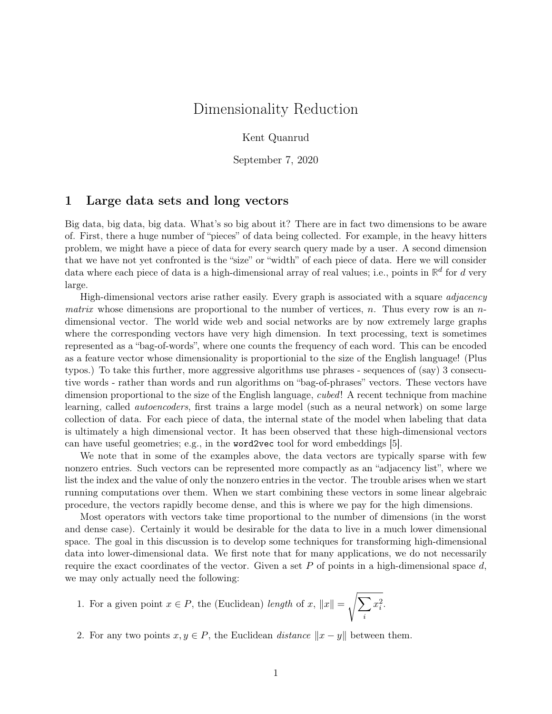# Dimensionality Reduction

Kent Quanrud

September 7, 2020

### 1 Large data sets and long vectors

Big data, big data, big data. What's so big about it? There are in fact two dimensions to be aware of. First, there a huge number of "pieces" of data being collected. For example, in the heavy hitters problem, we might have a piece of data for every search query made by a user. A second dimension that we have not yet confronted is the "size" or "width" of each piece of data. Here we will consider data where each piece of data is a high-dimensional array of real values; i.e., points in  $\mathbb{R}^d$  for  $d$  very large.

High-dimensional vectors arise rather easily. Every graph is associated with a square *adjacency* matrix whose dimensions are proportional to the number of vertices, n. Thus every row is an  $n$ dimensional vector. The world wide web and social networks are by now extremely large graphs where the corresponding vectors have very high dimension. In text processing, text is sometimes represented as a "bag-of-words", where one counts the frequency of each word. This can be encoded as a feature vector whose dimensionality is proportionial to the size of the English language! (Plus typos.) To take this further, more aggressive algorithms use phrases - sequences of (say) 3 consecutive words - rather than words and run algorithms on "bag-of-phrases" vectors. These vectors have dimension proportional to the size of the English language, *cubed*! A recent technique from machine learning, called autoencoders, first trains a large model (such as a neural network) on some large collection of data. For each piece of data, the internal state of the model when labeling that data is ultimately a high dimensional vector. It has been observed that these high-dimensional vectors can have useful geometries; e.g., in the word2vec tool for word embeddings [\[5\]](#page-8-0).

We note that in some of the examples above, the data vectors are typically sparse with few nonzero entries. Such vectors can be represented more compactly as an "adjacency list", where we list the index and the value of only the nonzero entries in the vector. The trouble arises when we start running computations over them. When we start combining these vectors in some linear algebraic procedure, the vectors rapidly become dense, and this is where we pay for the high dimensions.

Most operators with vectors take time proportional to the number of dimensions (in the worst and dense case). Certainly it would be desirable for the data to live in a much lower dimensional space. The goal in this discussion is to develop some techniques for transforming high-dimensional data into lower-dimensional data. We first note that for many applications, we do not necessarily require the exact coordinates of the vector. Given a set P of points in a high-dimensional space  $d$ , we may only actually need the following:

1. For a given point 
$$
x \in P
$$
, the (Euclidean) *length* of  $x$ ,  $||x|| = \sqrt{\sum_i x_i^2}$ .

2. For any two points  $x, y \in P$ , the Euclidean *distance*  $||x - y||$  between them.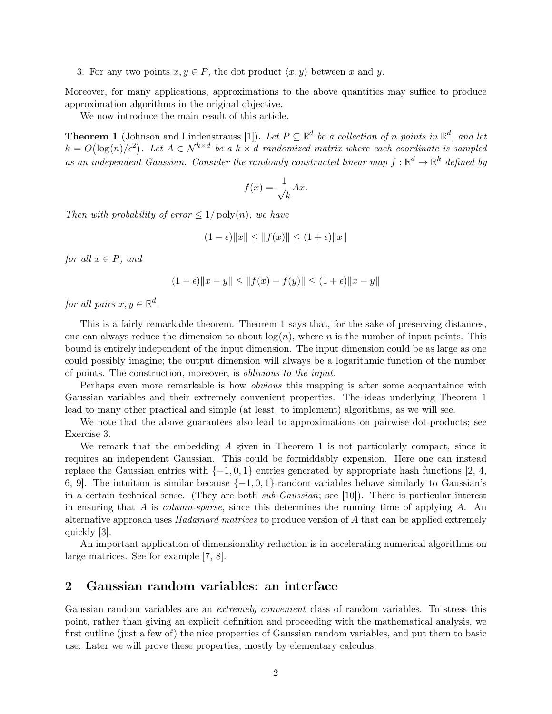3. For any two points  $x, y \in P$ , the dot product  $\langle x, y \rangle$  between x and y.

Moreover, for many applications, approximations to the above quantities may suffice to produce approximation algorithms in the original objective.

We now introduce the main result of this article.

<span id="page-1-0"></span>**Theorem 1** (Johnson and Lindenstrauss [\[1\]](#page-8-1)). Let  $P \subseteq \mathbb{R}^d$  be a collection of n points in  $\mathbb{R}^d$ , and let  $k = O(\log(n)/\epsilon^2)$ . Let  $A \in \mathcal{N}^{k \times d}$  be a  $k \times d$  randomized matrix where each coordinate is sampled as an independent Gaussian. Consider the randomly constructed linear map  $f : \mathbb{R}^d \to \mathbb{R}^k$  defined by

$$
f(x) = \frac{1}{\sqrt{k}} Ax.
$$

Then with probability of error  $\leq 1/\text{poly}(n)$ , we have

$$
(1 - \epsilon) \|x\| \le \|f(x)\| \le (1 + \epsilon) \|x\|
$$

for all  $x \in P$ , and

$$
(1 - \epsilon) \|x - y\| \le \|f(x) - f(y)\| \le (1 + \epsilon) \|x - y\|
$$

for all pairs  $x, y \in \mathbb{R}^d$ .

This is a fairly remarkable theorem. [Theorem 1](#page-1-0) says that, for the sake of preserving distances, one can always reduce the dimension to about  $log(n)$ , where n is the number of input points. This bound is entirely independent of the input dimension. The input dimension could be as large as one could possibly imagine; the output dimension will always be a logarithmic function of the number of points. The construction, moreover, is oblivious to the input.

Perhaps even more remarkable is how *obvious* this mapping is after some acquantaince with Gaussian variables and their extremely convenient properties. The ideas underlying [Theorem 1](#page-1-0) lead to many other practical and simple (at least, to implement) algorithms, as we will see.

We note that the above guarantees also lead to approximations on pairwise dot-products; see [Exercise 3.](#page-7-0)

We remark that the embedding  $A$  given in [Theorem 1](#page-1-0) is not particularly compact, since it requires an independent Gaussian. This could be formiddably expension. Here one can instead replace the Gaussian entries with  $\{-1, 0, 1\}$  entries generated by appropriate hash functions [\[2,](#page-8-2) [4,](#page-8-3) [6,](#page-8-4) 9. The intuition is similar because  $\{-1, 0, 1\}$ -random variables behave similarly to Gaussian's in a certain technical sense. (They are both  $sub-Gaussian$ ; see [\[10\]](#page-8-6)). There is particular interest in ensuring that A is *column-sparse*, since this determines the running time of applying  $A$ . An alternative approach uses Hadamard matrices to produce version of A that can be applied extremely quickly [\[3\]](#page-8-7).

An important application of dimensionality reduction is in accelerating numerical algorithms on large matrices. See for example [\[7,](#page-8-8) [8\]](#page-8-9).

## 2 Gaussian random variables: an interface

Gaussian random variables are an *extremely convenient* class of random variables. To stress this point, rather than giving an explicit definition and proceeding with the mathematical analysis, we first outline (just a few of) the nice properties of Gaussian random variables, and put them to basic use. Later we will prove these properties, mostly by elementary calculus.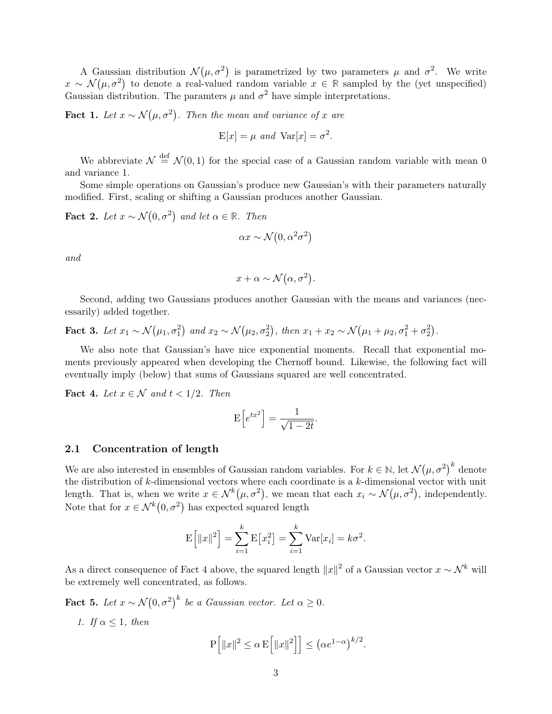A Gaussian distribution  $\mathcal{N}(\mu, \sigma^2)$  is parametrized by two parameters  $\mu$  and  $\sigma^2$ . We write  $x \sim \mathcal{N}(\mu, \sigma^2)$  to denote a real-valued random variable  $x \in \mathbb{R}$  sampled by the (yet unspecified) Gaussian distribution. The paramters  $\mu$  and  $\sigma^2$  have simple interpretations.

<span id="page-2-4"></span>**Fact 1.** Let  $x \sim \mathcal{N}(\mu, \sigma^2)$ . Then the mean and variance of x are

$$
E[x] = \mu \text{ and } Var[x] = \sigma^2.
$$

We abbreviate  $\mathcal{N} \stackrel{\text{def}}{=} \mathcal{N}(0,1)$  for the special case of a Gaussian random variable with mean 0 and variance 1.

Some simple operations on Gaussian's produce new Gaussian's with their parameters naturally modified. First, scaling or shifting a Gaussian produces another Gaussian.

<span id="page-2-1"></span>**Fact 2.** Let  $x \sim \mathcal{N}(0, \sigma^2)$  and let  $\alpha \in \mathbb{R}$ . Then

$$
\alpha x \sim \mathcal{N}(0, \alpha^2 \sigma^2)
$$

and

$$
x + \alpha \sim \mathcal{N}(\alpha, \sigma^2).
$$

Second, adding two Gaussians produces another Gaussian with the means and variances (necessarily) added together.

<span id="page-2-3"></span>**Fact 3.** Let  $x_1 \sim \mathcal{N}(\mu_1, \sigma_1^2)$  and  $x_2 \sim \mathcal{N}(\mu_2, \sigma_2^2)$ , then  $x_1 + x_2 \sim \mathcal{N}(\mu_1 + \mu_2, \sigma_1^2 + \sigma_2^2)$ .

We also note that Gaussian's have nice exponential moments. Recall that exponential moments previously appeared when developing the Chernoff bound. Likewise, the following fact will eventually imply (below) that sums of Gaussians squared are well concentrated.

<span id="page-2-0"></span>Fact 4. Let  $x \in \mathcal{N}$  and  $t < 1/2$ . Then

$$
E\left[e^{tx^2}\right] = \frac{1}{\sqrt{1-2t}}.
$$

#### 2.1 Concentration of length

We are also interested in ensembles of Gaussian random variables. For  $k \in \mathbb{N}$ , let  $\mathcal{N}(\mu, \sigma^2)^k$  denote the distribution of  $k$ -dimensional vectors where each coordinate is a  $k$ -dimensional vector with unit length. That is, when we write  $x \in \mathcal{N}^k(\mu, \sigma^2)$ , we mean that each  $x_i \sim \mathcal{N}(\mu, \sigma^2)$ , independently. Note that for  $x \in \mathcal{N}^k(0, \sigma^2)$  has expected squared length

$$
E\left[\|x\|^2\right] = \sum_{i=1}^k E\left[x_i^2\right] = \sum_{i=1}^k Var[x_i] = k\sigma^2.
$$

As a direct consequence of [Fact 4](#page-2-0) above, the squared length  $||x||^2$  of a Gaussian vector  $x \sim \mathcal{N}^k$  will be extremely well concentrated, as follows.

<span id="page-2-2"></span>**Fact 5.** Let  $x \sim \mathcal{N}(0, \sigma^2)^k$  be a Gaussian vector. Let  $\alpha \geq 0$ .

1. If  $\alpha$  < 1, then

$$
P\left[\left\|x\right\|^2 \le \alpha \mathbf{E}\left[\left\|x\right\|^2\right]\right] \le \left(\alpha e^{1-\alpha}\right)^{k/2}.
$$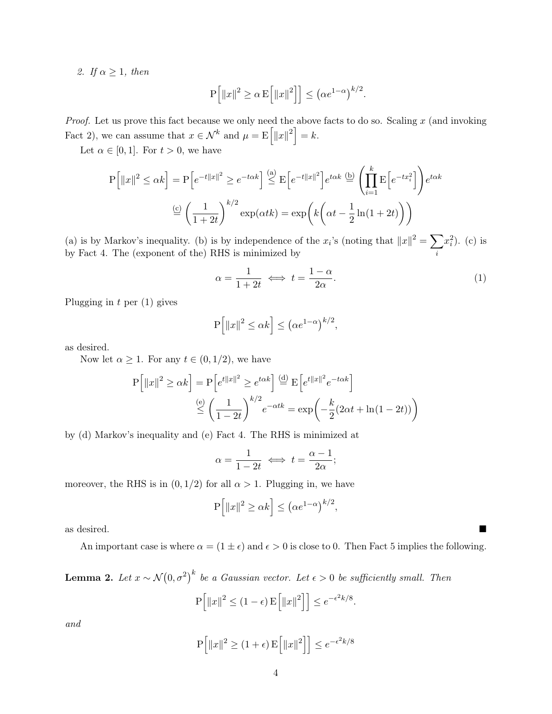2. If  $\alpha \geq 1$ , then

$$
P\Big[\|x\|^2 \ge \alpha E\Big[\|x\|^2\Big]\Big] \le \big(\alpha e^{1-\alpha}\big)^{k/2}.
$$

*Proof.* Let us prove this fact because we only need the above facts to do so. Scaling  $x$  (and invoking [Fact 2\)](#page-2-1), we can assume that  $x \in \mathcal{N}^k$  and  $\mu = \mathbb{E} \left[ ||x||^2 \right] = k$ .

Let  $\alpha \in [0, 1]$ . For  $t > 0$ , we have

$$
P\left[\|x\|^2 \le \alpha k\right] = P\left[e^{-t\|x\|^2} \ge e^{-t\alpha k}\right] \stackrel{\text{(a)}}{\le} E\left[e^{-t\|x\|^2}\right] e^{t\alpha k} \stackrel{\text{(b)}}{=} \left(\prod_{i=1}^k E\left[e^{-tx_i^2}\right]\right) e^{t\alpha k}
$$
\n
$$
\stackrel{\text{(c)}}{=} \left(\frac{1}{1+2t}\right)^{k/2} \exp(\alpha t k) = \exp\left(k\left(\alpha t - \frac{1}{2}\ln(1+2t)\right)\right)
$$

(a) is by Markov's inequality. (b) is by independence of the  $x_i$ 's (noting that  $||x||^2 = \sum$ i  $x_i^2$ ). (c) is by [Fact 4.](#page-2-0) The (exponent of the) RHS is minimized by

$$
\alpha = \frac{1}{1+2t} \iff t = \frac{1-\alpha}{2\alpha}.\tag{1}
$$

Plugging in  $t$  per  $(1)$  gives

$$
P\Big[\|x\|^2 \le \alpha k\Big] \le \big(\alpha e^{1-\alpha}\big)^{k/2},
$$

as desired.

Now let  $\alpha \geq 1$ . For any  $t \in (0, 1/2)$ , we have

$$
P[||x||^2 \ge \alpha k] = P\left[e^{t||x||^2} \ge e^{t\alpha k}\right] \stackrel{\text{(d)}}{=} E\left[e^{t||x||^2}e^{-t\alpha k}\right]
$$

$$
\stackrel{\text{(e)}}{\le} \left(\frac{1}{1-2t}\right)^{k/2}e^{-\alpha tk} = \exp\left(-\frac{k}{2}(2\alpha t + \ln(1-2t))\right)
$$

by (d) Markov's inequality and (e) [Fact 4.](#page-2-0) The RHS is minimized at

$$
\alpha = \frac{1}{1 - 2t} \iff t = \frac{\alpha - 1}{2\alpha};
$$

moreover, the RHS is in  $(0, 1/2)$  for all  $\alpha > 1$ . Plugging in, we have

$$
P\Big[\|x\|^2 \ge \alpha k\Big] \le \big(\alpha e^{1-\alpha}\big)^{k/2},
$$

as desired.

An important case is where  $\alpha = (1 \pm \epsilon)$  and  $\epsilon > 0$  is close to 0. Then [Fact 5](#page-2-2) implies the following.

**Lemma 2.** Let  $x \sim \mathcal{N}(0, \sigma^2)^k$  be a Gaussian vector. Let  $\epsilon > 0$  be sufficiently small. Then

$$
P\left[\|x\|^2 \le (1-\epsilon) E\left[\|x\|^2\right]\right] \le e^{-\epsilon^2 k/8}.
$$

and

$$
P\left[\left\|x\right\|^2 \ge (1+\epsilon) E\left[\left\|x\right\|^2\right]\right] \le e^{-\epsilon^2 k/8}
$$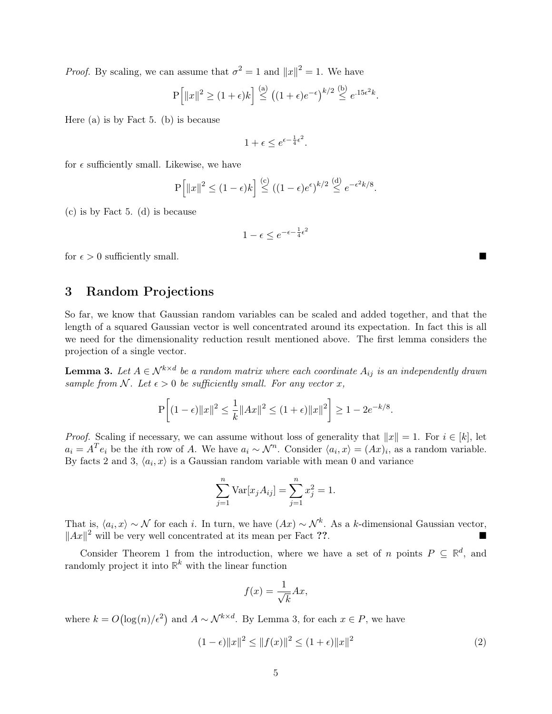*Proof.* By scaling, we can assume that  $\sigma^2 = 1$  and  $||x||^2 = 1$ . We have

$$
P\left[\|x\|^2 \ge (1+\epsilon)k\right] \stackrel{(a)}{\le} \left((1+\epsilon)e^{-\epsilon}\right)^{k/2} \stackrel{(b)}{\le} e^{.15\epsilon^2k}.
$$

Here (a) is by [Fact 5.](#page-2-2) (b) is because

 $1+\epsilon \leq e^{\epsilon-\frac{1}{4}\epsilon^2}.$ 

for  $\epsilon$  sufficiently small. Likewise, we have

$$
P\left[\|x\|^2 \le (1-\epsilon)k\right] \stackrel{(c)}{\le} ((1-\epsilon)e^{\epsilon})^{k/2} \stackrel{(d)}{\le} e^{-\epsilon^2k/8}.
$$

(c) is by [Fact 5.](#page-2-2) (d) is because

$$
1 - \epsilon \le e^{-\epsilon - \frac{1}{4}\epsilon^2}
$$

for  $\epsilon > 0$  sufficiently small.

# 3 Random Projections

So far, we know that Gaussian random variables can be scaled and added together, and that the length of a squared Gaussian vector is well concentrated around its expectation. In fact this is all we need for the dimensionality reduction result mentioned above. The first lemma considers the projection of a single vector.

<span id="page-4-0"></span>**Lemma 3.** Let  $A \in \mathcal{N}^{k \times d}$  be a random matrix where each coordinate  $A_{ij}$  is an independently drawn sample from N. Let  $\epsilon > 0$  be sufficiently small. For any vector x,

$$
\mathbf{P}\bigg[(1-\epsilon)\|x\|^2 \leq \frac{1}{k}\|Ax\|^2 \leq (1+\epsilon)\|x\|^2\bigg] \geq 1-2e^{-k/8}.
$$

*Proof.* Scaling if necessary, we can assume without loss of generality that  $||x|| = 1$ . For  $i \in [k]$ , let  $a_i = A^T e_i$  be the *i*th row of A. We have  $a_i \sim \mathcal{N}^n$ . Consider  $\langle a_i, x \rangle = (Ax)_i$ , as a random variable. By facts [2](#page-2-1) and [3,](#page-2-3)  $\langle a_i, x \rangle$  is a Gaussian random variable with mean 0 and variance

$$
\sum_{j=1}^{n} \text{Var}[x_j A_{ij}] = \sum_{j=1}^{n} x_j^2 = 1.
$$

That is,  $\langle a_i, x \rangle \sim \mathcal{N}$  for each i. In turn, we have  $(Ax) \sim \mathcal{N}^k$ . As a k-dimensional Gaussian vector,  $||Ax||^2$  will be very well concentrated at its mean per Fact ??.

Consider [Theorem 1](#page-1-0) from the introduction, where we have a set of n points  $P \subseteq \mathbb{R}^d$ , and randomly project it into  $\mathbb{R}^k$  with the linear function

$$
f(x) = \frac{1}{\sqrt{k}} Ax,
$$

where  $k = O(\log(n)/\epsilon^2)$  and  $A \sim \mathcal{N}^{k \times d}$ . By [Lemma 3,](#page-4-0) for each  $x \in P$ , we have

$$
(1 - \epsilon) \|x\|^2 \le \|f(x)\|^2 \le (1 + \epsilon) \|x\|^2 \tag{2}
$$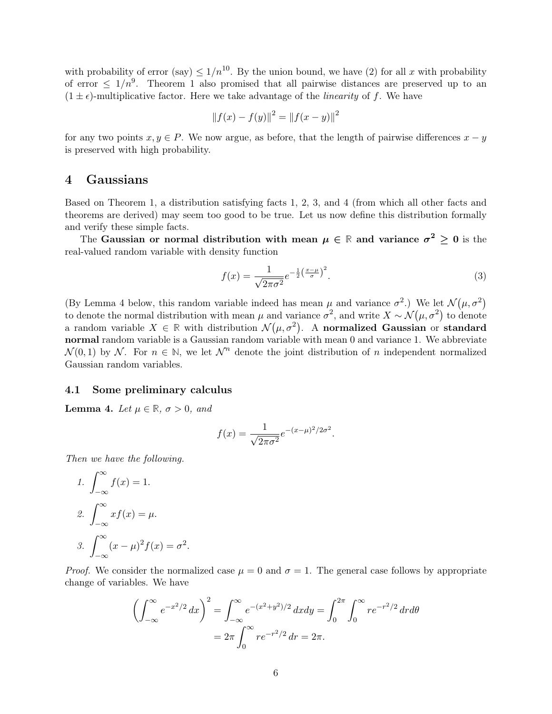with probability of error (say)  $\leq 1/n^{10}$ . By the union bound, we have (2) for all x with probability of error  $\leq 1/n^9$ . [Theorem 1](#page-1-0) also promised that all pairwise distances are preserved up to an  $(1 \pm \epsilon)$ -multiplicative factor. Here we take advantage of the *linearity* of f. We have

$$
||f(x) - f(y)||^2 = ||f(x - y)||^2
$$

for any two points  $x, y \in P$ . We now argue, as before, that the length of pairwise differences  $x - y$ is preserved with high probability.

# <span id="page-5-1"></span>4 Gaussians

Based on [Theorem 1,](#page-1-0) a distribution satisfying facts [1,](#page-2-4) [2,](#page-2-1) [3,](#page-2-3) and [4](#page-2-0) (from which all other facts and theorems are derived) may seem too good to be true. Let us now define this distribution formally and verify these simple facts.

The Gaussian or normal distribution with mean  $\mu \in \mathbb{R}$  and variance  $\sigma^2 \geq 0$  is the real-valued random variable with density function

$$
f(x) = \frac{1}{\sqrt{2\pi\sigma^2}} e^{-\frac{1}{2}\left(\frac{x-\mu}{\sigma}\right)^2}.
$$
\n
$$
(3)
$$

(By [Lemma 4](#page-5-0) below, this random variable indeed has mean  $\mu$  and variance  $\sigma^2$ .) We let  $\mathcal{N}(\mu, \sigma^2)$ to denote the normal distribution with mean  $\mu$  and variance  $\sigma^2$ , and write  $X \sim \mathcal{N}(\mu, \sigma^2)$  to denote a random variable  $X \in \mathbb{R}$  with distribution  $\mathcal{N}(\mu, \sigma^2)$ . A normalized Gaussian or standard normal random variable is a Gaussian random variable with mean 0 and variance 1. We abbreviate  $\mathcal{N}(0,1)$  by  $\mathcal{N}$ . For  $n \in \mathbb{N}$ , we let  $\mathcal{N}^n$  denote the joint distribution of n independent normalized Gaussian random variables.

#### 4.1 Some preliminary calculus

<span id="page-5-0"></span>**Lemma 4.** Let  $\mu \in \mathbb{R}$ ,  $\sigma > 0$ , and

$$
f(x) = \frac{1}{\sqrt{2\pi\sigma^2}} e^{-(x-\mu)^2/2\sigma^2}.
$$

Then we have the following.

<span id="page-5-2"></span>1. 
$$
\int_{-\infty}^{\infty} f(x) = 1.
$$
  
2. 
$$
\int_{-\infty}^{\infty} x f(x) = \mu.
$$
  
3. 
$$
\int_{-\infty}^{\infty} (x - \mu)^2 f(x) = \sigma
$$

2 .

*Proof.* We consider the normalized case  $\mu = 0$  and  $\sigma = 1$ . The general case follows by appropriate change of variables. We have

$$
\left(\int_{-\infty}^{\infty} e^{-x^2/2} dx\right)^2 = \int_{-\infty}^{\infty} e^{-(x^2+y^2)/2} dx dy = \int_{0}^{2\pi} \int_{0}^{\infty} r e^{-r^2/2} dr d\theta
$$

$$
= 2\pi \int_{0}^{\infty} r e^{-r^2/2} dr = 2\pi.
$$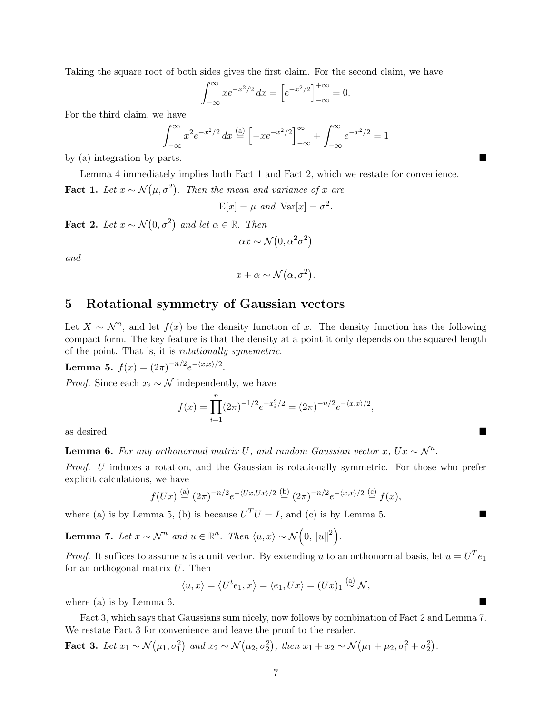Taking the square root of both sides gives the first claim. For the second claim, we have

$$
\int_{-\infty}^{\infty} x e^{-x^2/2} dx = \left[ e^{-x^2/2} \right]_{-\infty}^{+\infty} = 0.
$$

For the third claim, we have

$$
\int_{-\infty}^{\infty} x^2 e^{-x^2/2} dx \stackrel{\text{(a)}}{=} \left[ -xe^{-x^2/2} \right]_{-\infty}^{\infty} + \int_{-\infty}^{\infty} e^{-x^2/2} = 1
$$

by (a) integration by parts.

[Lemma 4](#page-5-0) immediately implies both [Fact 1](#page-2-4) and [Fact 2,](#page-2-1) which we restate for convenience. **Fact 1.** Let  $x \sim \mathcal{N}(\mu, \sigma^2)$ . Then the mean and variance of x are

$$
E[x] = \mu \text{ and } Var[x] = \sigma^2.
$$

**Fact 2.** Let  $x \sim \mathcal{N}(0, \sigma^2)$  and let  $\alpha \in \mathbb{R}$ . Then

$$
\alpha x \sim \mathcal{N}(0, \alpha^2 \sigma^2)
$$

and

$$
x + \alpha \sim \mathcal{N}(\alpha, \sigma^2).
$$

# 5 Rotational symmetry of Gaussian vectors

Let  $X \sim \mathcal{N}^n$ , and let  $f(x)$  be the density function of x. The density function has the following compact form. The key feature is that the density at a point it only depends on the squared length of the point. That is, it is rotationally symemetric.

<span id="page-6-0"></span>Lemma 5.  $f(x) = (2\pi)^{-n/2} e^{-\langle x, x \rangle/2}$ .

*Proof.* Since each  $x_i \sim \mathcal{N}$  independently, we have

$$
f(x) = \prod_{i=1}^{n} (2\pi)^{-1/2} e^{-x_i^2/2} = (2\pi)^{-n/2} e^{-\langle x, x \rangle/2},
$$

as desired.

<span id="page-6-1"></span>**Lemma 6.** For any orthonormal matrix U, and random Gaussian vector x,  $Ux \sim N^n$ .

Proof. U induces a rotation, and the Gaussian is rotationally symmetric. For those who prefer explicit calculations, we have

$$
f(Ux) \stackrel{\text{(a)}}{=} (2\pi)^{-n/2} e^{-\langle Ux, Ux \rangle/2} \stackrel{\text{(b)}}{=} (2\pi)^{-n/2} e^{-\langle x, x \rangle/2} \stackrel{\text{(c)}}{=} f(x),
$$

where (a) is by [Lemma 5,](#page-6-0) (b) is because  $U^T U = I$ , and (c) is by [Lemma 5.](#page-6-0)

<span id="page-6-2"></span>**Lemma 7.** Let  $x \sim \mathcal{N}^n$  and  $u \in \mathbb{R}^n$ . Then  $\langle u, x \rangle \sim \mathcal{N}\left(0, \|u\|^2\right)$ .

*Proof.* It suffices to assume u is a unit vector. By extending u to an orthonormal basis, let  $u = U^T e_1$ for an orthogonal matrix  $U$ . Then

$$
\langle u, x \rangle = \langle U^t e_1, x \rangle = \langle e_1, Ux \rangle = (Ux)_1 \stackrel{\text{(a)}}{\sim} \mathcal{N},
$$

where (a) is by [Lemma 6.](#page-6-1)

[Fact 3,](#page-2-3) which says that Gaussians sum nicely, now follows by combination of [Fact 2](#page-2-1) and [Lemma 7.](#page-6-2) We restate [Fact 3](#page-2-3) for convenience and leave the proof to the reader.

Fact 3. Let  $x_1 \sim \mathcal{N}(\mu_1, \sigma_1^2)$  and  $x_2 \sim \mathcal{N}(\mu_2, \sigma_2^2)$ , then  $x_1 + x_2 \sim \mathcal{N}(\mu_1 + \mu_2, \sigma_1^2 + \sigma_2^2)$ .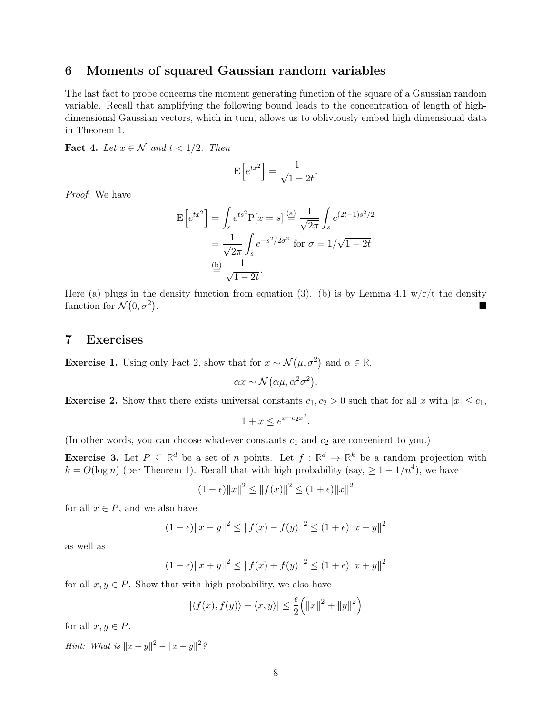## 6 Moments of squared Gaussian random variables

The last fact to probe concerns the moment generating function of the square of a Gaussian random variable. Recall that amplifying the following bound leads to the concentration of length of highdimensional Gaussian vectors, which in turn, allows us to obliviously embed high-dimensional data in [Theorem 1.](#page-1-0)

Fact 4. Let  $x \in \mathcal{N}$  and  $t < 1/2$ . Then

$$
E\left[e^{tx^2}\right] = \frac{1}{\sqrt{1-2t}}.
$$

Proof. We have

$$
E\left[e^{tx^2}\right] = \int_s e^{ts^2} P[x = s] \stackrel{\text{(a)}}{=} \frac{1}{\sqrt{2\pi}} \int_s e^{(2t-1)s^2/2}
$$

$$
= \frac{1}{\sqrt{2\pi}} \int_s e^{-s^2/2\sigma^2} \text{ for } \sigma = 1/\sqrt{1-2t}
$$

$$
\stackrel{\text{(b)}}{=} \frac{1}{\sqrt{1-2t}}.
$$

Here (a) plugs in the density function from equation [\(3\).](#page-5-1) (b) is by [Lemma 4.](#page-5-0)[1](#page-5-2)  $w/r/t$  the density function for  $\mathcal{N}(0, \sigma^2)$ . In the second control of the second control of the second control of the second control of the second control of

### 7 Exercises

Exercise 1. Using only [Fact 2,](#page-2-1) show that for  $x \sim \mathcal{N}(\mu, \sigma^2)$  and  $\alpha \in \mathbb{R}$ ,

$$
\alpha x \sim \mathcal{N}(\alpha \mu, \alpha^2 \sigma^2).
$$

**Exercise 2.** Show that there exists universal constants  $c_1, c_2 > 0$  such that for all x with  $|x| \leq c_1$ ,

$$
1 + x \le e^{x - c_2 x^2}.
$$

(In other words, you can choose whatever constants  $c_1$  and  $c_2$  are convenient to you.)

<span id="page-7-0"></span>**Exercise 3.** Let  $P \subseteq \mathbb{R}^d$  be a set of n points. Let  $f : \mathbb{R}^d \to \mathbb{R}^k$  be a random projection with  $k = O(\log n)$  (per [Theorem 1\)](#page-1-0). Recall that with high probability (say,  $\geq 1 - 1/n^4$ ), we have

$$
(1 - \epsilon) \|x\|^2 \le \|f(x)\|^2 \le (1 + \epsilon) \|x\|^2
$$

for all  $x \in P$ , and we also have

$$
(1 - \epsilon) \|x - y\|^2 \le \|f(x) - f(y)\|^2 \le (1 + \epsilon) \|x - y\|^2
$$

as well as

$$
(1 - \epsilon) \|x + y\|^2 \le \|f(x) + f(y)\|^2 \le (1 + \epsilon) \|x + y\|^2
$$

for all  $x, y \in P$ . Show that with high probability, we also have

$$
|\langle f(x), f(y) \rangle - \langle x, y \rangle| \le \frac{\epsilon}{2} (||x||^2 + ||y||^2)
$$

for all  $x, y \in P$ .

*Hint:* What is  $||x + y||^2 - ||x - y||^2$ ?